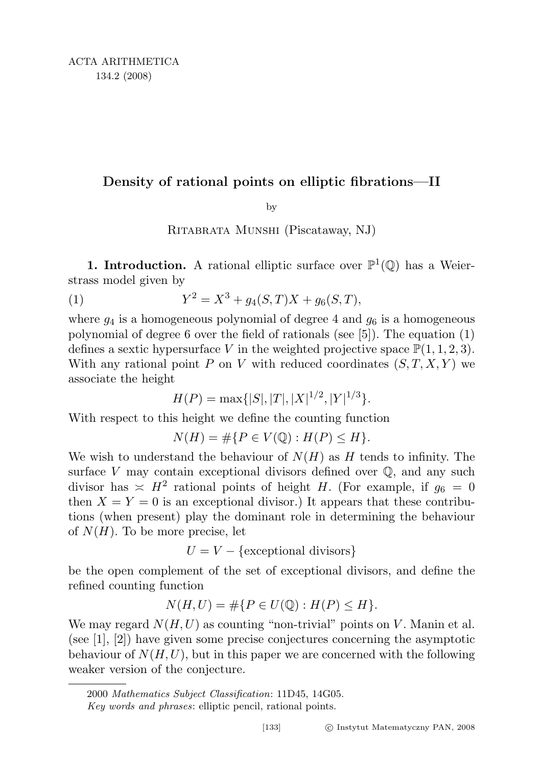## Density of rational points on elliptic fibrations—II

by

Ritabrata Munshi (Piscataway, NJ)

**1. Introduction.** A rational elliptic surface over  $\mathbb{P}^1(\mathbb{Q})$  has a Weierstrass model given by

(1) 
$$
Y^2 = X^3 + g_4(S,T)X + g_6(S,T),
$$

where  $g_4$  is a homogeneous polynomial of degree 4 and  $g_6$  is a homogeneous polynomial of degree 6 over the field of rationals (see [5]). The equation (1) defines a sextic hypersurface V in the weighted projective space  $\mathbb{P}(1,1,2,3)$ . With any rational point P on V with reduced coordinates  $(S, T, X, Y)$  we associate the height

$$
H(P) = \max\{|S|, |T|, |X|^{1/2}, |Y|^{1/3}\}.
$$

With respect to this height we define the counting function

$$
N(H) = \# \{ P \in V(\mathbb{Q}) : H(P) \le H \}.
$$

We wish to understand the behaviour of  $N(H)$  as H tends to infinity. The surface  $V$  may contain exceptional divisors defined over  $\mathbb{Q}$ , and any such divisor has  $\leq H^2$  rational points of height H. (For example, if  $g_6 = 0$ then  $X = Y = 0$  is an exceptional divisor.) It appears that these contributions (when present) play the dominant role in determining the behaviour of  $N(H)$ . To be more precise, let

 $U = V - \{\text{exceptional divisors}\}\$ 

be the open complement of the set of exceptional divisors, and define the refined counting function

$$
N(H, U) = \# \{ P \in U(\mathbb{Q}) : H(P) \le H \}.
$$

We may regard  $N(H, U)$  as counting "non-trivial" points on V. Manin et al. (see [1], [2]) have given some precise conjectures concerning the asymptotic behaviour of  $N(H, U)$ , but in this paper we are concerned with the following weaker version of the conjecture.

<sup>2000</sup> Mathematics Subject Classification: 11D45, 14G05.

Key words and phrases: elliptic pencil, rational points.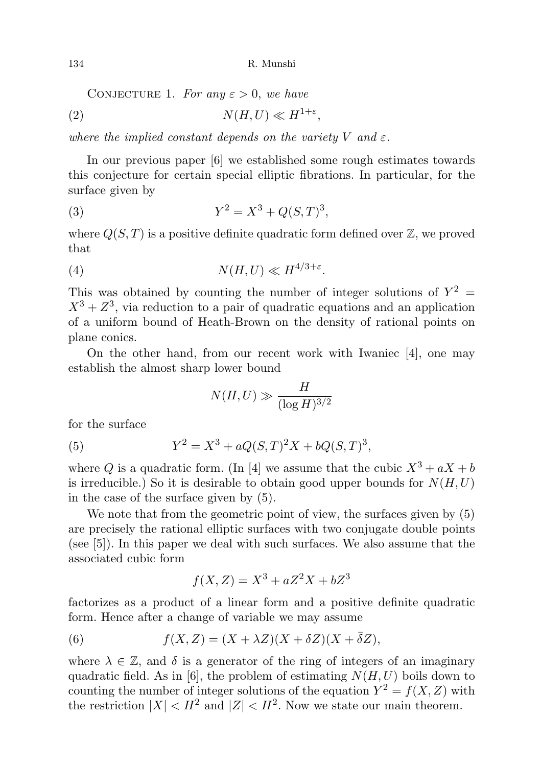CONJECTURE 1. For any  $\varepsilon > 0$ , we have

$$
(2) \t\t N(H,U) \ll H^{1+\varepsilon},
$$

where the implied constant depends on the variety V and  $\varepsilon$ .

In our previous paper [6] we established some rough estimates towards this conjecture for certain special elliptic fibrations. In particular, for the surface given by

(3) 
$$
Y^2 = X^3 + Q(S,T)^3,
$$

where  $Q(S,T)$  is a positive definite quadratic form defined over  $\mathbb{Z}$ , we proved that

$$
(4) \t\t N(H, U) \ll H^{4/3 + \varepsilon}.
$$

This was obtained by counting the number of integer solutions of  $Y^2 =$  $X^3 + Z^3$ , via reduction to a pair of quadratic equations and an application of a uniform bound of Heath-Brown on the density of rational points on plane conics.

On the other hand, from our recent work with Iwaniec [4], one may establish the almost sharp lower bound

$$
N(H, U) \gg \frac{H}{(\log H)^{3/2}}
$$

for the surface

(5) 
$$
Y^2 = X^3 + aQ(S,T)^2X + bQ(S,T)^3,
$$

where Q is a quadratic form. (In [4] we assume that the cubic  $X^3 + aX + b$ is irreducible.) So it is desirable to obtain good upper bounds for  $N(H, U)$ in the case of the surface given by (5).

We note that from the geometric point of view, the surfaces given by  $(5)$ are precisely the rational elliptic surfaces with two conjugate double points (see [5]). In this paper we deal with such surfaces. We also assume that the associated cubic form

$$
f(X,Z) = X^3 + aZ^2X + bZ^3
$$

factorizes as a product of a linear form and a positive definite quadratic form. Hence after a change of variable we may assume

(6) 
$$
f(X,Z) = (X + \lambda Z)(X + \delta Z)(X + \bar{\delta}Z),
$$

where  $\lambda \in \mathbb{Z}$ , and  $\delta$  is a generator of the ring of integers of an imaginary quadratic field. As in [6], the problem of estimating  $N(H, U)$  boils down to counting the number of integer solutions of the equation  $Y^2 = f(X, Z)$  with the restriction  $|X| < H^2$  and  $|Z| < H^2$ . Now we state our main theorem.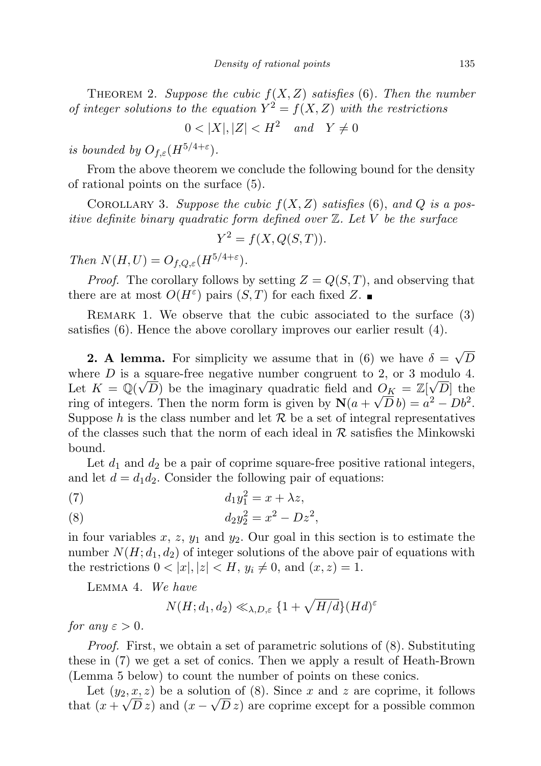THEOREM 2. Suppose the cubic  $f(X, Z)$  satisfies (6). Then the number of integer solutions to the equation  $Y^2 = f(X, Z)$  with the restrictions

 $0 < |X|, |Z| < H^2$  and  $Y \neq 0$ 

is bounded by  $O_{f,\varepsilon}(H^{5/4+\varepsilon}).$ 

From the above theorem we conclude the following bound for the density of rational points on the surface (5).

COROLLARY 3. Suppose the cubic  $f(X, Z)$  satisfies (6), and Q is a positive definite binary quadratic form defined over  $\mathbb Z$ . Let V be the surface

$$
Y^2 = f(X, Q(S, T)).
$$

Then  $N(H, U) = O_{f, Q, \varepsilon}(H^{5/4+\varepsilon}).$ 

*Proof.* The corollary follows by setting  $Z = Q(S,T)$ , and observing that there are at most  $O(H^{\varepsilon})$  pairs  $(S,T)$  for each fixed Z.

Remark 1. We observe that the cubic associated to the surface (3) satisfies (6). Hence the above corollary improves our earlier result (4).

**2. A lemma.** For simplicity we assume that in (6) we have  $\delta =$ √ D where D is a square-free negative number congruent to 2, or 3 modulo 4. Let  $K = \mathbb{Q}(\sqrt{D})$  be the imaginary quadratic field and  $\mathcal{O}_K = \mathbb{Z}[\sqrt{D}]$  the ring of integers. Then the norm form is given by  $N(a + \sqrt{D}b) = a^2 - Db^2$ . Suppose h is the class number and let  $\mathcal R$  be a set of integral representatives of the classes such that the norm of each ideal in  $R$  satisfies the Minkowski bound.

Let  $d_1$  and  $d_2$  be a pair of coprime square-free positive rational integers, and let  $d = d_1 d_2$ . Consider the following pair of equations:

$$
(7) \t\t d_1y_1^2 = x + \lambda z,
$$

(8) 
$$
d_2 y_2^2 = x^2 - D z^2,
$$

in four variables  $x, z, y_1$  and  $y_2$ . Our goal in this section is to estimate the number  $N(H; d_1, d_2)$  of integer solutions of the above pair of equations with the restrictions  $0 < |x|, |z| < H$ ,  $y_i \neq 0$ , and  $(x, z) = 1$ .

Lemma 4. We have

$$
N(H; d_1, d_2) \ll_{\lambda, D, \varepsilon} \{1 + \sqrt{H/d}\} (Hd)^{\varepsilon}
$$

for any  $\varepsilon > 0$ .

Proof. First, we obtain a set of parametric solutions of (8). Substituting these in (7) we get a set of conics. Then we apply a result of Heath-Brown (Lemma 5 below) to count the number of points on these conics.

Let  $(y_2, \underline{x}, z)$  be a solution of (8). Since x and z are coprime, it follows that  $(x + \sqrt{D} z)$  and  $(x - \sqrt{D} z)$  are coprime except for a possible common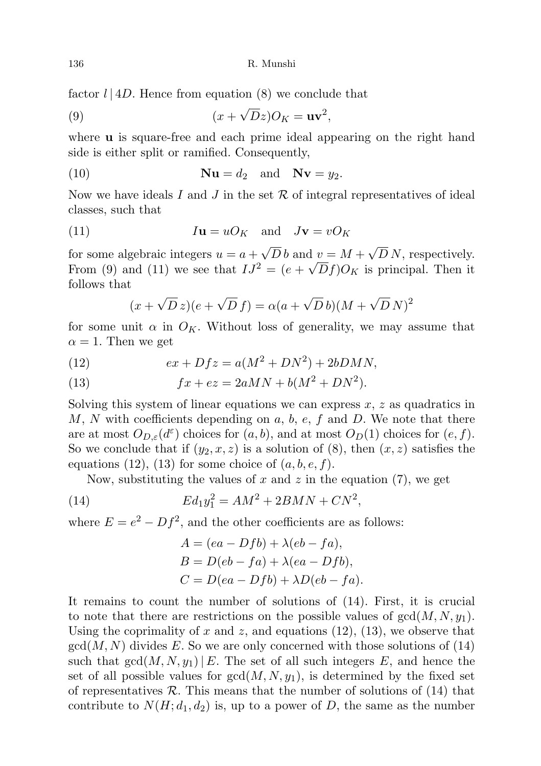136 R. Munshi

factor  $l | 4D$ . Hence from equation (8) we conclude that

(9) 
$$
(x + \sqrt{D}z)O_K = uv^2,
$$

where **u** is square-free and each prime ideal appearing on the right hand side is either split or ramified. Consequently,

(10) 
$$
\mathbf{Nu} = d_2 \quad \text{and} \quad \mathbf{Nv} = y_2.
$$

Now we have ideals I and J in the set  $R$  of integral representatives of ideal classes, such that

(11) 
$$
I\mathbf{u} = uO_K \text{ and } J\mathbf{v} = vO_K
$$

for some algebraic integers  $u = a +$ √  $D b$  and  $v = M +$ √  $\frac{d}{dx} v = M + \sqrt{D} N$ , respectively. From (9) and (11) we see that  $IJ^2 = (e + \sqrt{D}f)O_K$  is principal. Then it follows that

$$
(x + \sqrt{D} z)(e + \sqrt{D} f) = \alpha (a + \sqrt{D} b)(M + \sqrt{D} N)^2
$$

for some unit  $\alpha$  in  $O_K$ . Without loss of generality, we may assume that  $\alpha = 1$ . Then we get

(12) 
$$
ex + Dfz = a(M^2 + DN^2) + 2bDMN,
$$

(13) 
$$
fx + ez = 2aMN + b(M^2 + DN^2).
$$

Solving this system of linear equations we can express  $x, z$  as quadratics in M, N with coefficients depending on a, b, e, f and D. We note that there are at most  $O_{D,\varepsilon}(d^{\varepsilon})$  choices for  $(a, b)$ , and at most  $O_D(1)$  choices for  $(e, f)$ . So we conclude that if  $(y_2, x, z)$  is a solution of  $(8)$ , then  $(x, z)$  satisfies the equations (12), (13) for some choice of  $(a, b, e, f)$ .

Now, substituting the values of  $x$  and  $z$  in the equation  $(7)$ , we get

(14) 
$$
Ed_1y_1^2 = AM^2 + 2BMN + CN^2,
$$

where  $E = e^2 - Df^2$ , and the other coefficients are as follows:

$$
A = (ea - Dfb) + \lambda (eb - fa),
$$
  
\n
$$
B = D(eb - fa) + \lambda (ea - Dfb),
$$
  
\n
$$
C = D(ea - Dfb) + \lambda D(eb - fa).
$$

It remains to count the number of solutions of (14). First, it is crucial to note that there are restrictions on the possible values of  $gcd(M, N, y_1)$ . Using the coprimality of x and z, and equations  $(12)$ ,  $(13)$ , we observe that  $gcd(M, N)$  divides E. So we are only concerned with those solutions of (14) such that  $gcd(M, N, y_1) | E$ . The set of all such integers E, and hence the set of all possible values for  $gcd(M, N, y_1)$ , is determined by the fixed set of representatives  $\mathcal R$ . This means that the number of solutions of (14) that contribute to  $N(H; d_1, d_2)$  is, up to a power of D, the same as the number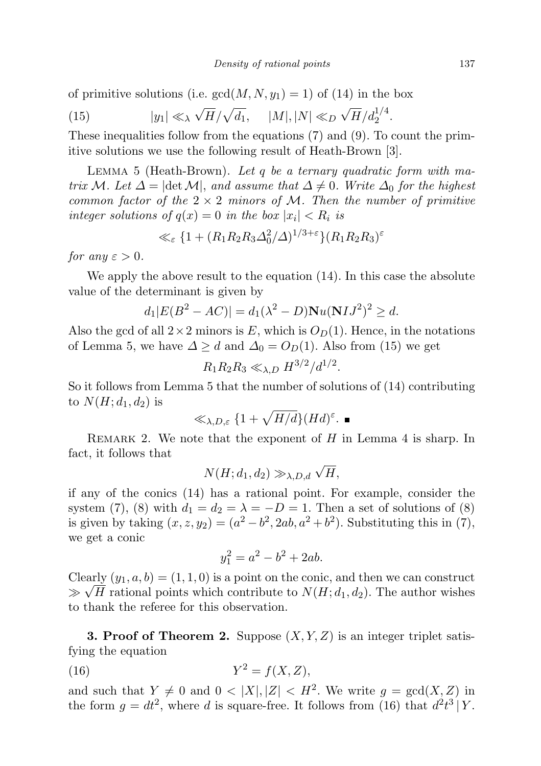of primitive solutions (i.e.  $gcd(M, N, y_1) = 1$ ) of (14) in the box

(15) 
$$
|y_1| \ll \sqrt{H}/\sqrt{d_1}, \quad |M|, |N| \ll_D \sqrt{H}/d_2^{1/4}.
$$

These inequalities follow from the equations (7) and (9). To count the primitive solutions we use the following result of Heath-Brown [3].

LEMMA 5 (Heath-Brown). Let q be a ternary quadratic form with matrix M. Let  $\Delta = |\text{det }\mathcal{M}|$ , and assume that  $\Delta \neq 0$ . Write  $\Delta_0$  for the highest common factor of the  $2 \times 2$  minors of M. Then the number of primitive integer solutions of  $q(x) = 0$  in the box  $|x_i| < R_i$  is

$$
\ll_{\varepsilon} \{1 + (R_1 R_2 R_3 \Delta_0^2 / \Delta)^{1/3 + \varepsilon}\} (R_1 R_2 R_3)^{\varepsilon}
$$

for any  $\varepsilon > 0$ .

We apply the above result to the equation (14). In this case the absolute value of the determinant is given by

$$
d_1|E(B^2 - AC)| = d_1(\lambda^2 - D)\mathbf{N}u(\mathbf{N}IJ^2)^2 \ge d.
$$

Also the gcd of all  $2\times 2$  minors is E, which is  $O_D(1)$ . Hence, in the notations of Lemma 5, we have  $\Delta \geq d$  and  $\Delta_0 = O_D(1)$ . Also from (15) we get

$$
R_1 R_2 R_3 \ll_{\lambda, D} H^{3/2}/d^{1/2}.
$$

So it follows from Lemma 5 that the number of solutions of (14) contributing to  $N(H; d_1, d_2)$  is

$$
\ll_{\lambda,D,\varepsilon} \{1+\sqrt{H/d}\}(Hd)^{\varepsilon}.\blacksquare
$$

REMARK 2. We note that the exponent of  $H$  in Lemma 4 is sharp. In fact, it follows that √

$$
N(H; d_1, d_2) \gg_{\lambda, D, d} \sqrt{H},
$$

if any of the conics (14) has a rational point. For example, consider the system (7), (8) with  $d_1 = d_2 = \lambda = -D = 1$ . Then a set of solutions of (8) is given by taking  $(x, z, y_2) = (a^2 - b^2, 2ab, a^2 + b^2)$ . Substituting this in (7), we get a conic

$$
y_1^2 = a^2 - b^2 + 2ab.
$$

Clearly  $(y_1, a, b) = (1, 1, 0)$  is a point on the conic, and then we can construct  $\gg \sqrt{H}$  rational points which contribute to  $N(H; d_1, d_2)$ . The author wishes to thank the referee for this observation.

**3. Proof of Theorem 2.** Suppose  $(X, Y, Z)$  is an integer triplet satisfying the equation

$$
(16) \t\t Y^2 = f(X, Z),
$$

and such that  $Y \neq 0$  and  $0 < |X|, |Z| < H^2$ . We write  $g = \text{gcd}(X, Z)$  in the form  $g = dt^2$ , where d is square-free. It follows from (16) that  $d^2t^3|Y$ .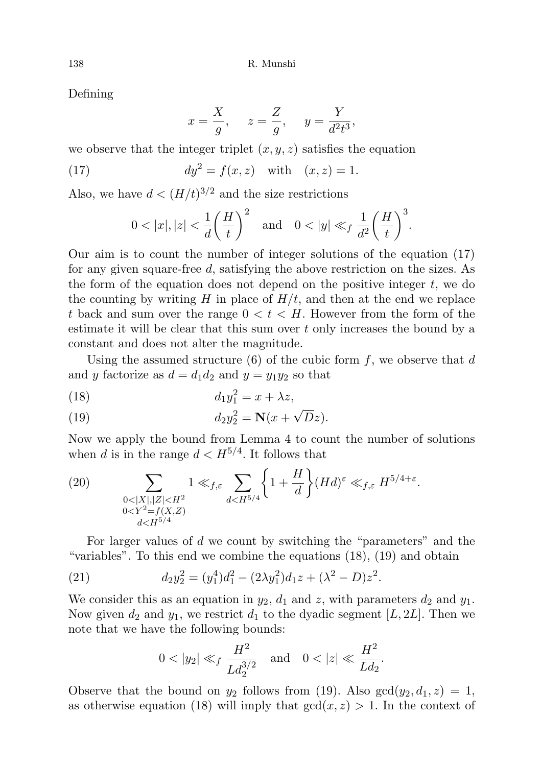Defining

$$
x = \frac{X}{g}, \quad z = \frac{Z}{g}, \quad y = \frac{Y}{d^2 t^3},
$$

we observe that the integer triplet  $(x, y, z)$  satisfies the equation

(17) 
$$
dy^2 = f(x, z)
$$
 with  $(x, z) = 1$ .

Also, we have  $d < (H/t)^{3/2}$  and the size restrictions

$$
0 < |x|, |z| < \frac{1}{d} \left(\frac{H}{t}\right)^2 \quad \text{and} \quad 0 < |y| \ll_f \frac{1}{d^2} \left(\frac{H}{t}\right)^3.
$$

Our aim is to count the number of integer solutions of the equation (17) for any given square-free d, satisfying the above restriction on the sizes. As the form of the equation does not depend on the positive integer  $t$ , we do the counting by writing H in place of  $H/t$ , and then at the end we replace t back and sum over the range  $0 < t < H$ . However from the form of the estimate it will be clear that this sum over  $t$  only increases the bound by a constant and does not alter the magnitude.

Using the assumed structure  $(6)$  of the cubic form f, we observe that d and y factorize as  $d = d_1 d_2$  and  $y = y_1 y_2$  so that

$$
(18) \t\t d_1y_1^2 = x + \lambda z,
$$

(19) 
$$
d_2y_2^2 = \mathbf{N}(x+\sqrt{D}z).
$$

Now we apply the bound from Lemma 4 to count the number of solutions when d is in the range  $d < H^{5/4}$ . It follows that

(20) 
$$
\sum_{\substack{0<|X|,|Z|
$$

For larger values of d we count by switching the "parameters" and the "variables". To this end we combine the equations (18), (19) and obtain

(21) 
$$
d_2y_2^2 = (y_1^4)d_1^2 - (2\lambda y_1^2)d_1z + (\lambda^2 - D)z^2.
$$

We consider this as an equation in  $y_2$ ,  $d_1$  and  $z$ , with parameters  $d_2$  and  $y_1$ . Now given  $d_2$  and  $y_1$ , we restrict  $d_1$  to the dyadic segment [L, 2L]. Then we note that we have the following bounds:

$$
0 < |y_2| \ll_f \frac{H^2}{L d_2^{3/2}}
$$
 and  $0 < |z| \ll \frac{H^2}{L d_2}$ .

Observe that the bound on  $y_2$  follows from (19). Also  $gcd(y_2, d_1, z) = 1$ , as otherwise equation (18) will imply that  $gcd(x, z) > 1$ . In the context of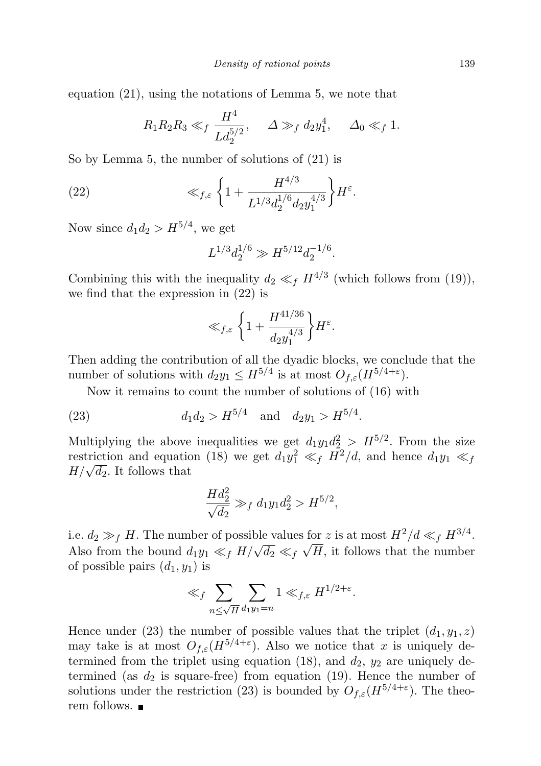equation (21), using the notations of Lemma 5, we note that

$$
R_1 R_2 R_3 \ll_f \frac{H^4}{L d_2^{5/2}}, \quad \Delta \gg_f d_2 y_1^4, \quad \Delta_0 \ll_f 1.
$$

So by Lemma 5, the number of solutions of (21) is

(22) 
$$
\ll_{f,\varepsilon} \left\{ 1 + \frac{H^{4/3}}{L^{1/3} d_2^{1/6} d_2 y_1^{4/3}} \right\} H^{\varepsilon}.
$$

Now since  $d_1 d_2 > H^{5/4}$ , we get

$$
L^{1/3}d_2^{1/6} \gg H^{5/12}d_2^{-1/6}.
$$

Combining this with the inequality  $d_2 \ll_f H^{4/3}$  (which follows from (19)), we find that the expression in (22) is

$$
\ll_{f,\varepsilon} \left\{ 1 + \frac{H^{41/36}}{d_2 y_1^{4/3}} \right\} H^{\varepsilon}.
$$

Then adding the contribution of all the dyadic blocks, we conclude that the number of solutions with  $d_2y_1 \n\t\le H^{5/4}$  is at most  $O_{f,\varepsilon}(H^{5/4+\varepsilon})$ .

Now it remains to count the number of solutions of (16) with

(23) 
$$
d_1 d_2 > H^{5/4}
$$
 and  $d_2 y_1 > H^{5/4}$ .

Multiplying the above inequalities we get  $d_1y_1d_2^2 > H^{5/2}$ . From the size restriction and equation (18) we get  $d_1y_1^2 \ll_f H^2/d$ , and hence  $d_1y_1 \ll_f$ restriction and equation-<br> $H/\sqrt{d_2}$ . It follows that

$$
\frac{Hd_2^2}{\sqrt{d_2}} \gg_f d_1 y_1 d_2^2 > H^{5/2},
$$

i.e.  $d_2 \gg_f H$ . The number of possible values for z is at most  $H^2/d \ll_f H^{3/4}$ . Also from the bound  $d_1y_1 \ll_f H/\sqrt{d_2} \ll_f \sqrt{H}$ , it follows that the number of possible pairs  $(d_1, y_1)$  is

$$
\ll_f \sum_{n \le \sqrt{H}} \sum_{d_1 y_1 = n} 1 \ll_{f,\varepsilon} H^{1/2 + \varepsilon}.
$$

Hence under (23) the number of possible values that the triplet  $(d_1, y_1, z)$ may take is at most  $O_{f,\varepsilon}(H^{5/4+\varepsilon})$ . Also we notice that x is uniquely determined from the triplet using equation (18), and  $d_2$ ,  $y_2$  are uniquely determined (as  $d_2$  is square-free) from equation (19). Hence the number of solutions under the restriction (23) is bounded by  $O_{f,\varepsilon}(H^{5/4+\varepsilon})$ . The theorem follows. ■